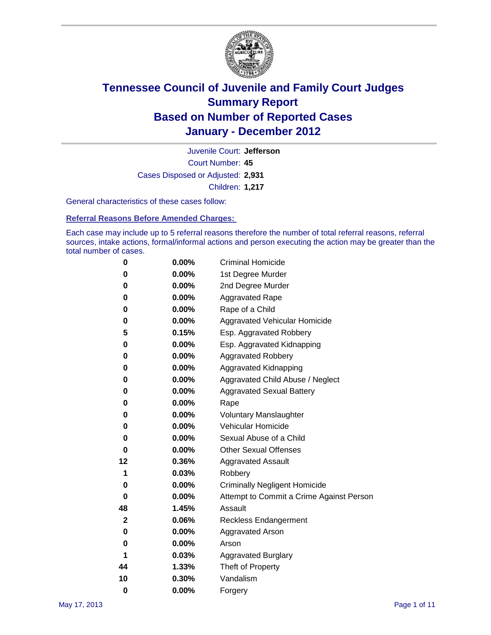

Court Number: **45** Juvenile Court: **Jefferson** Cases Disposed or Adjusted: **2,931** Children: **1,217**

General characteristics of these cases follow:

**Referral Reasons Before Amended Charges:** 

Each case may include up to 5 referral reasons therefore the number of total referral reasons, referral sources, intake actions, formal/informal actions and person executing the action may be greater than the total number of cases.

| 0  | 0.00%    | <b>Criminal Homicide</b>                 |
|----|----------|------------------------------------------|
| 0  | 0.00%    | 1st Degree Murder                        |
| 0  | 0.00%    | 2nd Degree Murder                        |
| 0  | 0.00%    | <b>Aggravated Rape</b>                   |
| 0  | 0.00%    | Rape of a Child                          |
| 0  | 0.00%    | Aggravated Vehicular Homicide            |
| 5  | 0.15%    | Esp. Aggravated Robbery                  |
| 0  | 0.00%    | Esp. Aggravated Kidnapping               |
| 0  | 0.00%    | <b>Aggravated Robbery</b>                |
| 0  | 0.00%    | Aggravated Kidnapping                    |
| 0  | 0.00%    | Aggravated Child Abuse / Neglect         |
| 0  | $0.00\%$ | <b>Aggravated Sexual Battery</b>         |
| 0  | 0.00%    | Rape                                     |
| 0  | $0.00\%$ | <b>Voluntary Manslaughter</b>            |
| 0  | 0.00%    | Vehicular Homicide                       |
| 0  | 0.00%    | Sexual Abuse of a Child                  |
| 0  | 0.00%    | <b>Other Sexual Offenses</b>             |
| 12 | 0.36%    | <b>Aggravated Assault</b>                |
| 1  | 0.03%    | Robbery                                  |
| 0  | 0.00%    | <b>Criminally Negligent Homicide</b>     |
| 0  | 0.00%    | Attempt to Commit a Crime Against Person |
| 48 | 1.45%    | Assault                                  |
| 2  | 0.06%    | <b>Reckless Endangerment</b>             |
| 0  | 0.00%    | <b>Aggravated Arson</b>                  |
| 0  | 0.00%    | Arson                                    |
| 1  | 0.03%    | <b>Aggravated Burglary</b>               |
| 44 | 1.33%    | Theft of Property                        |
| 10 | 0.30%    | Vandalism                                |
| 0  | 0.00%    | Forgery                                  |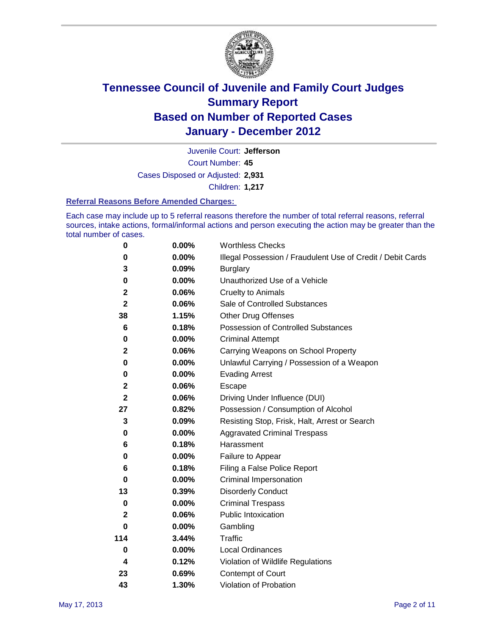

Court Number: **45** Juvenile Court: **Jefferson** Cases Disposed or Adjusted: **2,931** Children: **1,217**

#### **Referral Reasons Before Amended Charges:**

Each case may include up to 5 referral reasons therefore the number of total referral reasons, referral sources, intake actions, formal/informal actions and person executing the action may be greater than the total number of cases.

| $\pmb{0}$   | 0.00%    | <b>Worthless Checks</b>                                     |
|-------------|----------|-------------------------------------------------------------|
| 0           | 0.00%    | Illegal Possession / Fraudulent Use of Credit / Debit Cards |
| 3           | 0.09%    | <b>Burglary</b>                                             |
| 0           | $0.00\%$ | Unauthorized Use of a Vehicle                               |
| $\mathbf 2$ | 0.06%    | <b>Cruelty to Animals</b>                                   |
| $\mathbf 2$ | 0.06%    | Sale of Controlled Substances                               |
| 38          | 1.15%    | <b>Other Drug Offenses</b>                                  |
| 6           | 0.18%    | Possession of Controlled Substances                         |
| 0           | $0.00\%$ | <b>Criminal Attempt</b>                                     |
| $\mathbf 2$ | 0.06%    | Carrying Weapons on School Property                         |
| 0           | $0.00\%$ | Unlawful Carrying / Possession of a Weapon                  |
| 0           | $0.00\%$ | <b>Evading Arrest</b>                                       |
| $\mathbf 2$ | 0.06%    | Escape                                                      |
| 2           | 0.06%    | Driving Under Influence (DUI)                               |
| 27          | 0.82%    | Possession / Consumption of Alcohol                         |
| 3           | 0.09%    | Resisting Stop, Frisk, Halt, Arrest or Search               |
| 0           | $0.00\%$ | <b>Aggravated Criminal Trespass</b>                         |
| 6           | 0.18%    | Harassment                                                  |
| 0           | 0.00%    | Failure to Appear                                           |
| 6           | 0.18%    | Filing a False Police Report                                |
| $\bf{0}$    | 0.00%    | Criminal Impersonation                                      |
| 13          | 0.39%    | <b>Disorderly Conduct</b>                                   |
| 0           | $0.00\%$ | <b>Criminal Trespass</b>                                    |
| 2           | 0.06%    | Public Intoxication                                         |
| 0           | $0.00\%$ | Gambling                                                    |
| 114         | 3.44%    | <b>Traffic</b>                                              |
| 0           | $0.00\%$ | Local Ordinances                                            |
| 4           | 0.12%    | Violation of Wildlife Regulations                           |
| 23          | 0.69%    | Contempt of Court                                           |
| 43          | 1.30%    | Violation of Probation                                      |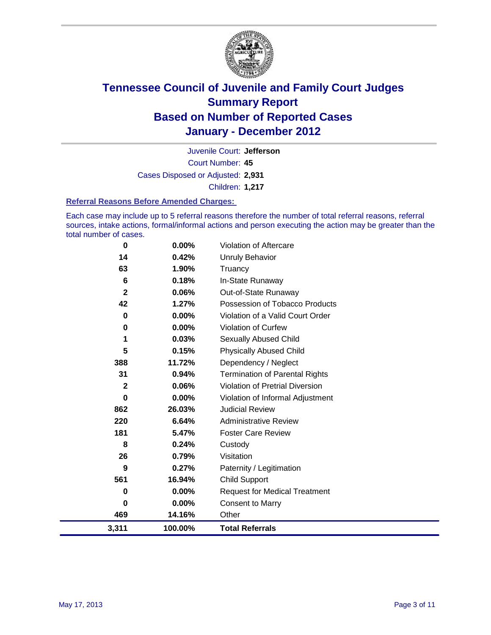

Court Number: **45** Juvenile Court: **Jefferson** Cases Disposed or Adjusted: **2,931** Children: **1,217**

#### **Referral Reasons Before Amended Charges:**

Each case may include up to 5 referral reasons therefore the number of total referral reasons, referral sources, intake actions, formal/informal actions and person executing the action may be greater than the total number of cases.

| 3,311        | 100.00%  | <b>Total Referrals</b>                 |
|--------------|----------|----------------------------------------|
| 469          | 14.16%   | Other                                  |
| 0            | 0.00%    | <b>Consent to Marry</b>                |
| 0            | $0.00\%$ | <b>Request for Medical Treatment</b>   |
| 561          | 16.94%   | <b>Child Support</b>                   |
| 9            | 0.27%    | Paternity / Legitimation               |
| 26           | 0.79%    | Visitation                             |
| 8            | 0.24%    | Custody                                |
| 181          | 5.47%    | <b>Foster Care Review</b>              |
| 220          | 6.64%    | <b>Administrative Review</b>           |
| 862          | 26.03%   | <b>Judicial Review</b>                 |
| 0            | 0.00%    | Violation of Informal Adjustment       |
| $\mathbf{2}$ | 0.06%    | <b>Violation of Pretrial Diversion</b> |
| 31           | 0.94%    | <b>Termination of Parental Rights</b>  |
| 388          | 11.72%   | Dependency / Neglect                   |
| 5            | 0.15%    | <b>Physically Abused Child</b>         |
| 1            | 0.03%    | Sexually Abused Child                  |
| 0            | $0.00\%$ | <b>Violation of Curfew</b>             |
| 0            | $0.00\%$ | Violation of a Valid Court Order       |
| 42           | 1.27%    | Possession of Tobacco Products         |
| $\mathbf{2}$ | 0.06%    | Out-of-State Runaway                   |
| 6            | 0.18%    | In-State Runaway                       |
| 63           | 1.90%    | Truancy                                |
| 14           | 0.42%    | Unruly Behavior                        |
| 0            | 0.00%    | Violation of Aftercare                 |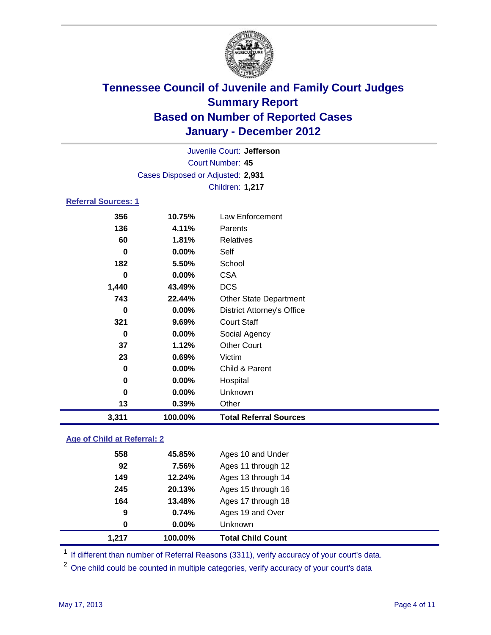

| 3,311                      | 100.00%                           | <b>Total Referral Sources</b>     |  |
|----------------------------|-----------------------------------|-----------------------------------|--|
| 13                         | 0.39%                             | Other                             |  |
| 0                          | 0.00%                             | Unknown                           |  |
| 0                          | 0.00%                             | Hospital                          |  |
| 0                          | 0.00%                             | Child & Parent                    |  |
| 23                         | 0.69%                             | Victim                            |  |
| 37                         | 1.12%                             | <b>Other Court</b>                |  |
| $\bf{0}$                   | 0.00%                             | Social Agency                     |  |
| 321                        | 9.69%                             | <b>Court Staff</b>                |  |
| 0                          | 0.00%                             | <b>District Attorney's Office</b> |  |
| 743                        | 22.44%                            | <b>Other State Department</b>     |  |
| 1,440                      | 43.49%                            | <b>DCS</b>                        |  |
| 0                          | 0.00%                             | <b>CSA</b>                        |  |
| 182                        | 5.50%                             | School                            |  |
| $\bf{0}$                   | 0.00%                             | Self                              |  |
| 60                         | 1.81%                             | <b>Relatives</b>                  |  |
| 136                        | 4.11%                             | Parents                           |  |
| 356                        | 10.75%                            | Law Enforcement                   |  |
| <b>Referral Sources: 1</b> |                                   |                                   |  |
|                            |                                   | Children: 1,217                   |  |
|                            | Cases Disposed or Adjusted: 2,931 |                                   |  |
| <b>Court Number: 45</b>    |                                   |                                   |  |
|                            |                                   |                                   |  |
| Juvenile Court: Jefferson  |                                   |                                   |  |

### **Age of Child at Referral: 2**

| 0.74%<br>$0.00\%$ | Ages 19 and Over<br><b>Unknown</b> |
|-------------------|------------------------------------|
|                   |                                    |
|                   |                                    |
| 13.48%            | Ages 17 through 18                 |
| 20.13%            | Ages 15 through 16                 |
| 12.24%            | Ages 13 through 14                 |
| 7.56%             | Ages 11 through 12                 |
| 45.85%            | Ages 10 and Under                  |
|                   |                                    |

<sup>1</sup> If different than number of Referral Reasons (3311), verify accuracy of your court's data.

<sup>2</sup> One child could be counted in multiple categories, verify accuracy of your court's data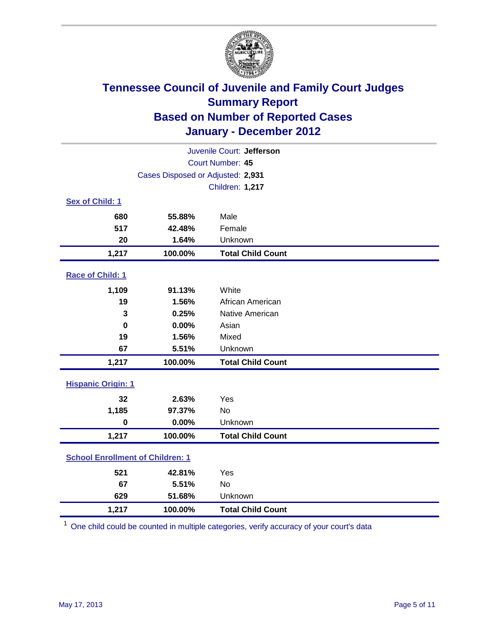

| Juvenile Court: Jefferson               |                                   |                          |  |  |
|-----------------------------------------|-----------------------------------|--------------------------|--|--|
| Court Number: 45                        |                                   |                          |  |  |
|                                         | Cases Disposed or Adjusted: 2,931 |                          |  |  |
|                                         |                                   | Children: 1,217          |  |  |
| Sex of Child: 1                         |                                   |                          |  |  |
| 680                                     | 55.88%                            | Male                     |  |  |
| 517                                     | 42.48%                            | Female                   |  |  |
| 20                                      | 1.64%                             | Unknown                  |  |  |
| 1,217                                   | 100.00%                           | <b>Total Child Count</b> |  |  |
| Race of Child: 1                        |                                   |                          |  |  |
| 1,109                                   | 91.13%                            | White                    |  |  |
| 19                                      | 1.56%                             | African American         |  |  |
| 3                                       | 0.25%                             | Native American          |  |  |
| $\mathbf 0$                             | 0.00%                             | Asian                    |  |  |
| 19                                      | 1.56%                             | Mixed                    |  |  |
| 67                                      | 5.51%                             | Unknown                  |  |  |
| 1,217                                   | 100.00%                           | <b>Total Child Count</b> |  |  |
| <b>Hispanic Origin: 1</b>               |                                   |                          |  |  |
| 32                                      | 2.63%                             | Yes                      |  |  |
| 1,185                                   | 97.37%                            | <b>No</b>                |  |  |
| $\mathbf 0$                             | 0.00%                             | Unknown                  |  |  |
| 1,217                                   | 100.00%                           | <b>Total Child Count</b> |  |  |
| <b>School Enrollment of Children: 1</b> |                                   |                          |  |  |
| 521                                     | 42.81%                            | Yes                      |  |  |
| 67                                      | 5.51%                             | No                       |  |  |
| 629                                     | 51.68%                            | Unknown                  |  |  |
| 1,217                                   | 100.00%                           | <b>Total Child Count</b> |  |  |

<sup>1</sup> One child could be counted in multiple categories, verify accuracy of your court's data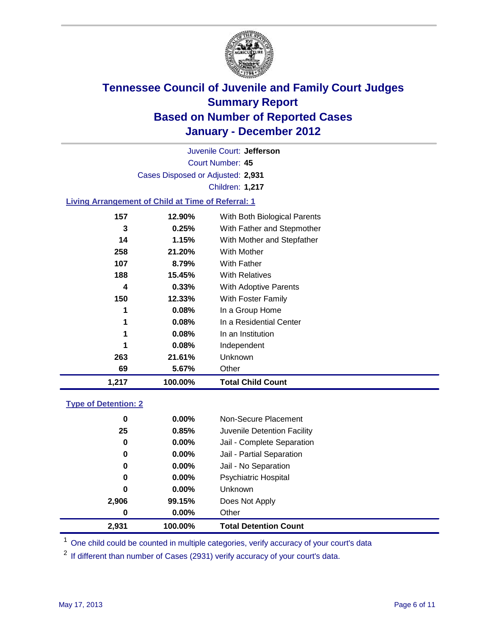

Court Number: **45** Juvenile Court: **Jefferson** Cases Disposed or Adjusted: **2,931** Children: **1,217**

### **Living Arrangement of Child at Time of Referral: 1**

| 1,217 | 100.00% | <b>Total Child Count</b>     |  |
|-------|---------|------------------------------|--|
| 69    | 5.67%   | Other                        |  |
| 263   | 21.61%  | <b>Unknown</b>               |  |
| 1     | 0.08%   | Independent                  |  |
| 1     | 0.08%   | In an Institution            |  |
| 1     | 0.08%   | In a Residential Center      |  |
| 1     | 0.08%   | In a Group Home              |  |
| 150   | 12.33%  | With Foster Family           |  |
| 4     | 0.33%   | <b>With Adoptive Parents</b> |  |
| 188   | 15.45%  | <b>With Relatives</b>        |  |
| 107   | 8.79%   | With Father                  |  |
| 258   | 21.20%  | With Mother                  |  |
| 14    | 1.15%   | With Mother and Stepfather   |  |
| 3     | 0.25%   | With Father and Stepmother   |  |
| 157   | 12.90%  | With Both Biological Parents |  |
|       |         |                              |  |

### **Type of Detention: 2**

| 2,931 | 100.00%  | <b>Total Detention Count</b> |
|-------|----------|------------------------------|
| 0     | 0.00%    | Other                        |
| 2,906 | 99.15%   | Does Not Apply               |
| 0     | $0.00\%$ | Unknown                      |
| 0     | 0.00%    | <b>Psychiatric Hospital</b>  |
| 0     | 0.00%    | Jail - No Separation         |
| 0     | $0.00\%$ | Jail - Partial Separation    |
| 0     | 0.00%    | Jail - Complete Separation   |
| 25    | 0.85%    | Juvenile Detention Facility  |
| 0     | $0.00\%$ | Non-Secure Placement         |
|       |          |                              |

<sup>1</sup> One child could be counted in multiple categories, verify accuracy of your court's data

<sup>2</sup> If different than number of Cases (2931) verify accuracy of your court's data.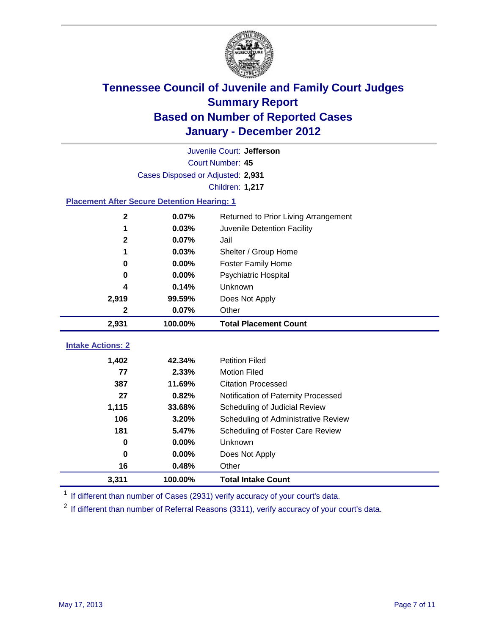

|                                                    | Juvenile Court: Jefferson         |                                      |  |  |  |
|----------------------------------------------------|-----------------------------------|--------------------------------------|--|--|--|
|                                                    | Court Number: 45                  |                                      |  |  |  |
|                                                    | Cases Disposed or Adjusted: 2,931 |                                      |  |  |  |
|                                                    |                                   | Children: 1,217                      |  |  |  |
| <b>Placement After Secure Detention Hearing: 1</b> |                                   |                                      |  |  |  |
| $\mathbf 2$                                        | 0.07%                             | Returned to Prior Living Arrangement |  |  |  |
| 1                                                  | 0.03%                             | Juvenile Detention Facility          |  |  |  |
| $\mathbf{2}$                                       | 0.07%                             | Jail                                 |  |  |  |
| 1                                                  | 0.03%                             | Shelter / Group Home                 |  |  |  |
| 0                                                  | 0.00%                             | Foster Family Home                   |  |  |  |
| 0                                                  | 0.00%                             | Psychiatric Hospital                 |  |  |  |
| 4                                                  | 0.14%                             | Unknown                              |  |  |  |
| 2,919                                              | 99.59%                            | Does Not Apply                       |  |  |  |
| 2                                                  | 0.07%                             | Other                                |  |  |  |
| 2,931                                              | 100.00%                           | <b>Total Placement Count</b>         |  |  |  |
|                                                    |                                   |                                      |  |  |  |
| <b>Intake Actions: 2</b>                           |                                   |                                      |  |  |  |
| 1,402                                              | 42.34%                            | <b>Petition Filed</b>                |  |  |  |
| 77                                                 | 2.33%                             | <b>Motion Filed</b>                  |  |  |  |
| 387                                                | 11.69%                            | <b>Citation Processed</b>            |  |  |  |
| 27                                                 | 0.82%                             | Notification of Paternity Processed  |  |  |  |
| 1,115                                              | 33.68%                            | Scheduling of Judicial Review        |  |  |  |
| 106                                                | 3.20%                             | Scheduling of Administrative Review  |  |  |  |
| 181                                                | 5.47%                             | Scheduling of Foster Care Review     |  |  |  |
| 0                                                  | 0.00%                             | Unknown                              |  |  |  |
| 0                                                  | 0.00%                             | Does Not Apply                       |  |  |  |
| 16                                                 | 0.48%                             | Other                                |  |  |  |
| 3,311                                              | 100.00%                           | <b>Total Intake Count</b>            |  |  |  |

<sup>1</sup> If different than number of Cases (2931) verify accuracy of your court's data.

<sup>2</sup> If different than number of Referral Reasons (3311), verify accuracy of your court's data.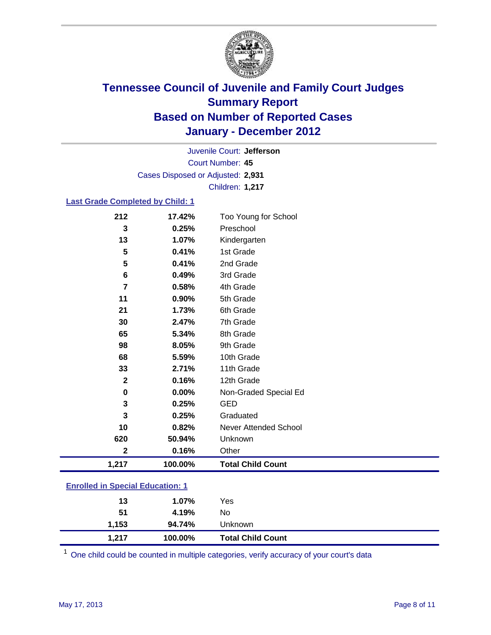

Court Number: **45** Juvenile Court: **Jefferson** Cases Disposed or Adjusted: **2,931** Children: **1,217**

#### **Last Grade Completed by Child: 1**

| 212                                     | 17.42%  | Too Young for School         |
|-----------------------------------------|---------|------------------------------|
| 3                                       | 0.25%   | Preschool                    |
| 13                                      | 1.07%   | Kindergarten                 |
| 5                                       | 0.41%   | 1st Grade                    |
| 5                                       | 0.41%   | 2nd Grade                    |
| 6                                       | 0.49%   | 3rd Grade                    |
| $\overline{7}$                          | 0.58%   | 4th Grade                    |
| 11                                      | 0.90%   | 5th Grade                    |
| 21                                      | 1.73%   | 6th Grade                    |
| 30                                      | 2.47%   | 7th Grade                    |
| 65                                      | 5.34%   | 8th Grade                    |
| 98                                      | 8.05%   | 9th Grade                    |
| 68                                      | 5.59%   | 10th Grade                   |
| 33                                      | 2.71%   | 11th Grade                   |
| $\mathbf{2}$                            | 0.16%   | 12th Grade                   |
| 0                                       | 0.00%   | Non-Graded Special Ed        |
| 3                                       | 0.25%   | <b>GED</b>                   |
| 3                                       | 0.25%   | Graduated                    |
| 10                                      | 0.82%   | <b>Never Attended School</b> |
| 620                                     | 50.94%  | Unknown                      |
| $\mathbf{2}$                            | 0.16%   | Other                        |
| 1,217                                   | 100.00% | <b>Total Child Count</b>     |
| <b>Enrolled in Special Education: 1</b> |         |                              |
| 13                                      | 1.07%   | Yes                          |
| 51                                      | 4.19%   | No                           |

**1,153 94.74%** Unknown **1,217 100.00% Total Child Count**

One child could be counted in multiple categories, verify accuracy of your court's data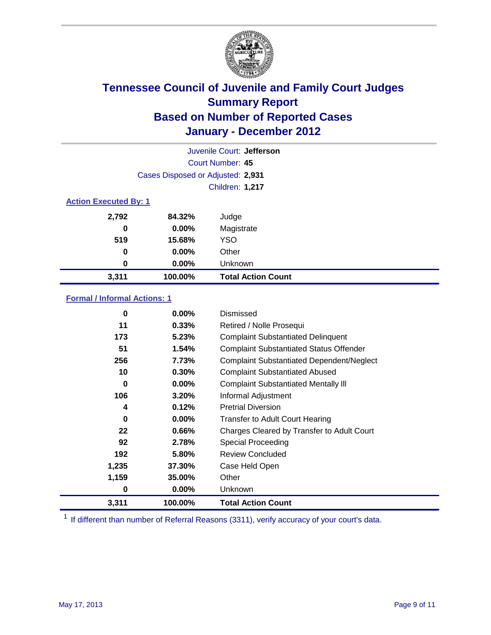

| Juvenile Court: Jefferson |                                   |                           |  |  |  |
|---------------------------|-----------------------------------|---------------------------|--|--|--|
|                           | Court Number: 45                  |                           |  |  |  |
|                           | Cases Disposed or Adjusted: 2,931 |                           |  |  |  |
|                           | Children: 1,217                   |                           |  |  |  |
|                           | <b>Action Executed By: 1</b>      |                           |  |  |  |
| 2,792                     | 84.32%                            | Judge                     |  |  |  |
| 0                         | $0.00\%$                          | Magistrate                |  |  |  |
| 519                       | 15.68%                            | <b>YSO</b>                |  |  |  |
| 0                         | $0.00\%$                          | Other                     |  |  |  |
| 0                         | 0.00%                             | Unknown                   |  |  |  |
| 3,311                     | 100.00%                           | <b>Total Action Count</b> |  |  |  |

### **Formal / Informal Actions: 1**

| 0     | $0.00\%$ | Dismissed                                        |
|-------|----------|--------------------------------------------------|
| 11    | 0.33%    | Retired / Nolle Prosequi                         |
| 173   | 5.23%    | <b>Complaint Substantiated Delinquent</b>        |
| 51    | 1.54%    | <b>Complaint Substantiated Status Offender</b>   |
| 256   | 7.73%    | <b>Complaint Substantiated Dependent/Neglect</b> |
| 10    | 0.30%    | <b>Complaint Substantiated Abused</b>            |
| 0     | $0.00\%$ | <b>Complaint Substantiated Mentally III</b>      |
| 106   | 3.20%    | Informal Adjustment                              |
| 4     | 0.12%    | <b>Pretrial Diversion</b>                        |
| 0     | $0.00\%$ | <b>Transfer to Adult Court Hearing</b>           |
| 22    | 0.66%    | Charges Cleared by Transfer to Adult Court       |
| 92    | 2.78%    | <b>Special Proceeding</b>                        |
| 192   | 5.80%    | <b>Review Concluded</b>                          |
| 1,235 | 37.30%   | Case Held Open                                   |
| 1,159 | 35.00%   | Other                                            |
| 0     | $0.00\%$ | <b>Unknown</b>                                   |
| 3,311 | 100.00%  | <b>Total Action Count</b>                        |

<sup>1</sup> If different than number of Referral Reasons (3311), verify accuracy of your court's data.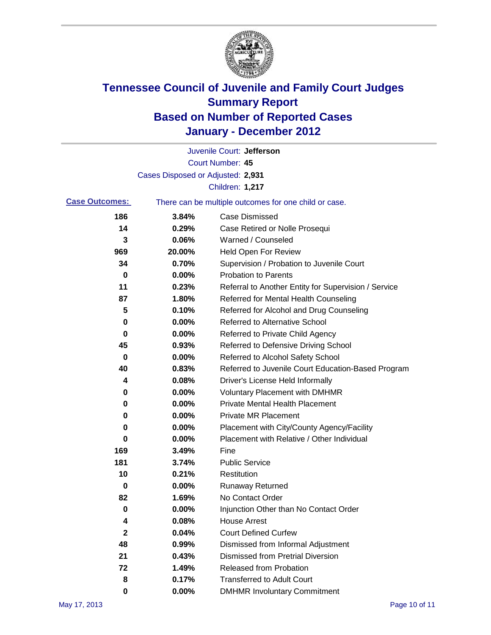

|                       |                                                       | Juvenile Court: Jefferson                            |  |
|-----------------------|-------------------------------------------------------|------------------------------------------------------|--|
|                       |                                                       | <b>Court Number: 45</b>                              |  |
|                       | Cases Disposed or Adjusted: 2,931                     |                                                      |  |
|                       |                                                       | Children: 1,217                                      |  |
| <b>Case Outcomes:</b> | There can be multiple outcomes for one child or case. |                                                      |  |
| 186                   | 3.84%                                                 | <b>Case Dismissed</b>                                |  |
| 14                    | 0.29%                                                 | Case Retired or Nolle Prosequi                       |  |
| 3                     | 0.06%                                                 | Warned / Counseled                                   |  |
| 969                   | 20.00%                                                | <b>Held Open For Review</b>                          |  |
| 34                    | 0.70%                                                 | Supervision / Probation to Juvenile Court            |  |
| 0                     | 0.00%                                                 | <b>Probation to Parents</b>                          |  |
| 11                    | 0.23%                                                 | Referral to Another Entity for Supervision / Service |  |
| 87                    | 1.80%                                                 | Referred for Mental Health Counseling                |  |
| 5                     | 0.10%                                                 | Referred for Alcohol and Drug Counseling             |  |
| 0                     | 0.00%                                                 | <b>Referred to Alternative School</b>                |  |
| 0                     | 0.00%                                                 | Referred to Private Child Agency                     |  |
| 45                    | 0.93%                                                 | Referred to Defensive Driving School                 |  |
| 0                     | 0.00%                                                 | Referred to Alcohol Safety School                    |  |
| 40                    | 0.83%                                                 | Referred to Juvenile Court Education-Based Program   |  |
| 4                     | 0.08%                                                 | Driver's License Held Informally                     |  |
| 0                     | 0.00%                                                 | <b>Voluntary Placement with DMHMR</b>                |  |
| 0                     | 0.00%                                                 | <b>Private Mental Health Placement</b>               |  |
| 0                     | 0.00%                                                 | <b>Private MR Placement</b>                          |  |
| 0                     | 0.00%                                                 | Placement with City/County Agency/Facility           |  |
| 0                     | 0.00%                                                 | Placement with Relative / Other Individual           |  |
| 169                   | 3.49%                                                 | Fine                                                 |  |
| 181                   | 3.74%                                                 | <b>Public Service</b>                                |  |
| 10                    | 0.21%                                                 | Restitution                                          |  |
| 0                     | 0.00%                                                 | <b>Runaway Returned</b>                              |  |
| 82                    | 1.69%                                                 | No Contact Order                                     |  |
| $\pmb{0}$             | 0.00%                                                 | Injunction Other than No Contact Order               |  |
| 4                     | 0.08%                                                 | <b>House Arrest</b>                                  |  |
| 2                     | 0.04%                                                 | <b>Court Defined Curfew</b>                          |  |
| 48                    | 0.99%                                                 | Dismissed from Informal Adjustment                   |  |
| 21                    | 0.43%                                                 | <b>Dismissed from Pretrial Diversion</b>             |  |
| 72                    | 1.49%                                                 | Released from Probation                              |  |
| 8                     | 0.17%                                                 | <b>Transferred to Adult Court</b>                    |  |
| 0                     | $0.00\%$                                              | <b>DMHMR Involuntary Commitment</b>                  |  |